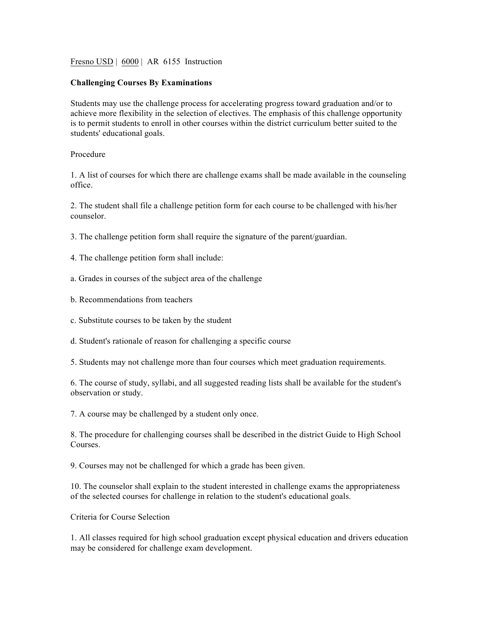Fresno USD | 6000 | AR 6155 Instruction

## **Challenging Courses By Examinations**

Students may use the challenge process for accelerating progress toward graduation and/or to achieve more flexibility in the selection of electives. The emphasis of this challenge opportunity is to permit students to enroll in other courses within the district curriculum better suited to the students' educational goals.

## Procedure

1. A list of courses for which there are challenge exams shall be made available in the counseling office.

2. The student shall file a challenge petition form for each course to be challenged with his/her counselor.

3. The challenge petition form shall require the signature of the parent/guardian.

- 4. The challenge petition form shall include:
- a. Grades in courses of the subject area of the challenge
- b. Recommendations from teachers
- c. Substitute courses to be taken by the student
- d. Student's rationale of reason for challenging a specific course

5. Students may not challenge more than four courses which meet graduation requirements.

6. The course of study, syllabi, and all suggested reading lists shall be available for the student's observation or study.

7. A course may be challenged by a student only once.

8. The procedure for challenging courses shall be described in the district Guide to High School Courses.

9. Courses may not be challenged for which a grade has been given.

10. The counselor shall explain to the student interested in challenge exams the appropriateness of the selected courses for challenge in relation to the student's educational goals.

Criteria for Course Selection

1. All classes required for high school graduation except physical education and drivers education may be considered for challenge exam development.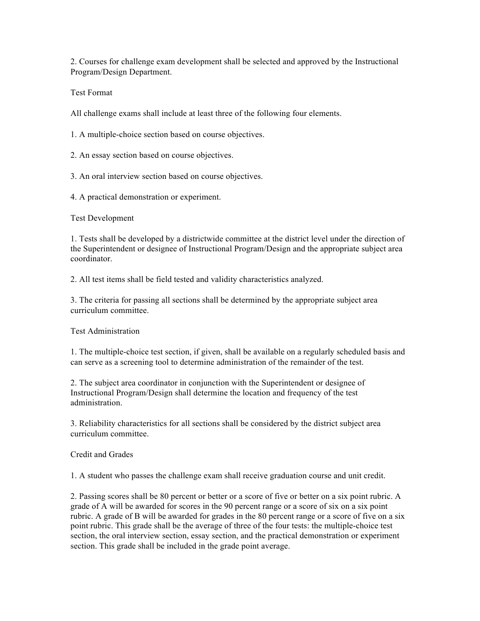2. Courses for challenge exam development shall be selected and approved by the Instructional Program/Design Department.

Test Format

All challenge exams shall include at least three of the following four elements.

1. A multiple-choice section based on course objectives.

2. An essay section based on course objectives.

3. An oral interview section based on course objectives.

4. A practical demonstration or experiment.

Test Development

1. Tests shall be developed by a districtwide committee at the district level under the direction of the Superintendent or designee of Instructional Program/Design and the appropriate subject area coordinator.

2. All test items shall be field tested and validity characteristics analyzed.

3. The criteria for passing all sections shall be determined by the appropriate subject area curriculum committee.

Test Administration

1. The multiple-choice test section, if given, shall be available on a regularly scheduled basis and can serve as a screening tool to determine administration of the remainder of the test.

2. The subject area coordinator in conjunction with the Superintendent or designee of Instructional Program/Design shall determine the location and frequency of the test administration.

3. Reliability characteristics for all sections shall be considered by the district subject area curriculum committee.

Credit and Grades

1. A student who passes the challenge exam shall receive graduation course and unit credit.

2. Passing scores shall be 80 percent or better or a score of five or better on a six point rubric. A grade of A will be awarded for scores in the 90 percent range or a score of six on a six point rubric. A grade of B will be awarded for grades in the 80 percent range or a score of five on a six point rubric. This grade shall be the average of three of the four tests: the multiple-choice test section, the oral interview section, essay section, and the practical demonstration or experiment section. This grade shall be included in the grade point average.